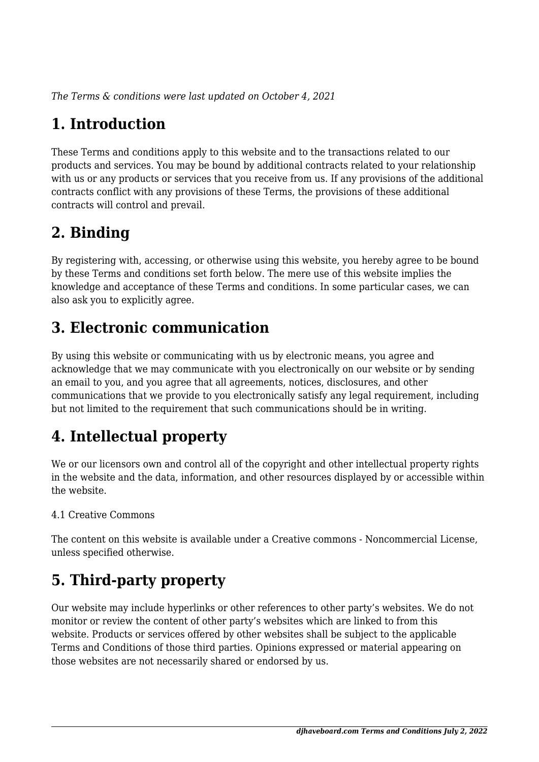*The Terms & conditions were last updated on October 4, 2021*

# **1. Introduction**

These Terms and conditions apply to this website and to the transactions related to our products and services. You may be bound by additional contracts related to your relationship with us or any products or services that you receive from us. If any provisions of the additional contracts conflict with any provisions of these Terms, the provisions of these additional contracts will control and prevail.

## **2. Binding**

By registering with, accessing, or otherwise using this website, you hereby agree to be bound by these Terms and conditions set forth below. The mere use of this website implies the knowledge and acceptance of these Terms and conditions. In some particular cases, we can also ask you to explicitly agree.

## **3. Electronic communication**

By using this website or communicating with us by electronic means, you agree and acknowledge that we may communicate with you electronically on our website or by sending an email to you, and you agree that all agreements, notices, disclosures, and other communications that we provide to you electronically satisfy any legal requirement, including but not limited to the requirement that such communications should be in writing.

# **4. Intellectual property**

We or our licensors own and control all of the copyright and other intellectual property rights in the website and the data, information, and other resources displayed by or accessible within the website.

#### 4.1 Creative Commons

The content on this website is available under a Creative commons - Noncommercial License, unless specified otherwise.

# **5. Third-party property**

Our website may include hyperlinks or other references to other party's websites. We do not monitor or review the content of other party's websites which are linked to from this website. Products or services offered by other websites shall be subject to the applicable Terms and Conditions of those third parties. Opinions expressed or material appearing on those websites are not necessarily shared or endorsed by us.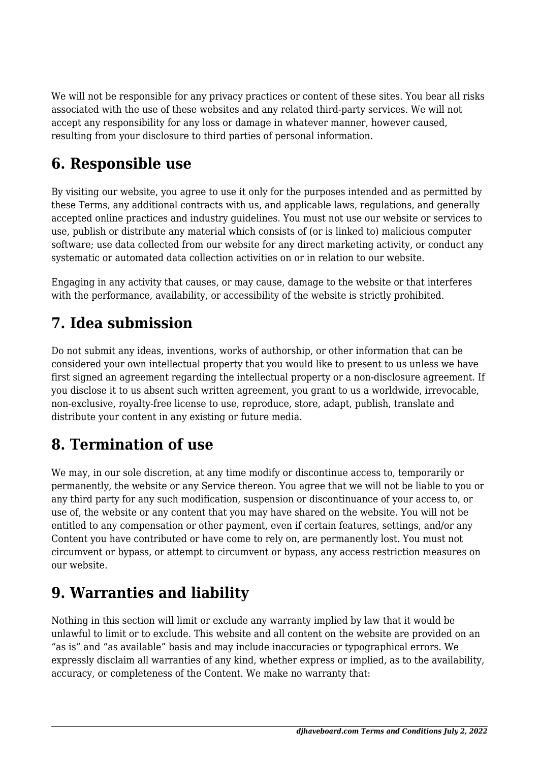We will not be responsible for any privacy practices or content of these sites. You bear all risks associated with the use of these websites and any related third-party services. We will not accept any responsibility for any loss or damage in whatever manner, however caused, resulting from your disclosure to third parties of personal information.

#### **6. Responsible use**

By visiting our website, you agree to use it only for the purposes intended and as permitted by these Terms, any additional contracts with us, and applicable laws, regulations, and generally accepted online practices and industry guidelines. You must not use our website or services to use, publish or distribute any material which consists of (or is linked to) malicious computer software; use data collected from our website for any direct marketing activity, or conduct any systematic or automated data collection activities on or in relation to our website.

Engaging in any activity that causes, or may cause, damage to the website or that interferes with the performance, availability, or accessibility of the website is strictly prohibited.

#### **7. Idea submission**

Do not submit any ideas, inventions, works of authorship, or other information that can be considered your own intellectual property that you would like to present to us unless we have first signed an agreement regarding the intellectual property or a non-disclosure agreement. If you disclose it to us absent such written agreement, you grant to us a worldwide, irrevocable, non-exclusive, royalty-free license to use, reproduce, store, adapt, publish, translate and distribute your content in any existing or future media.

# **8. Termination of use**

We may, in our sole discretion, at any time modify or discontinue access to, temporarily or permanently, the website or any Service thereon. You agree that we will not be liable to you or any third party for any such modification, suspension or discontinuance of your access to, or use of, the website or any content that you may have shared on the website. You will not be entitled to any compensation or other payment, even if certain features, settings, and/or any Content you have contributed or have come to rely on, are permanently lost. You must not circumvent or bypass, or attempt to circumvent or bypass, any access restriction measures on our website.

#### **9. Warranties and liability**

Nothing in this section will limit or exclude any warranty implied by law that it would be unlawful to limit or to exclude. This website and all content on the website are provided on an "as is" and "as available" basis and may include inaccuracies or typographical errors. We expressly disclaim all warranties of any kind, whether express or implied, as to the availability, accuracy, or completeness of the Content. We make no warranty that: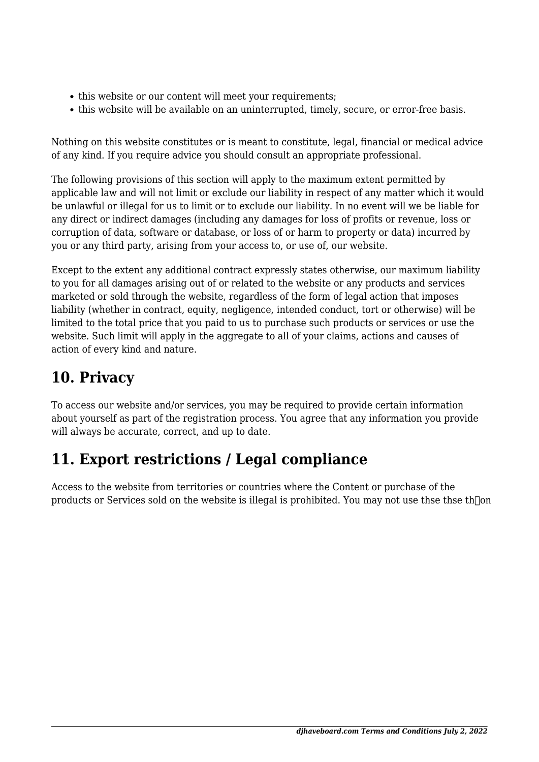- this website or our content will meet your requirements;
- this website will be available on an uninterrupted, timely, secure, or error-free basis.

Nothing on this website constitutes or is meant to constitute, legal, financial or medical advice of any kind. If you require advice you should consult an appropriate professional.

The following provisions of this section will apply to the maximum extent permitted by applicable law and will not limit or exclude our liability in respect of any matter which it would be unlawful or illegal for us to limit or to exclude our liability. In no event will we be liable for any direct or indirect damages (including any damages for loss of profits or revenue, loss or corruption of data, software or database, or loss of or harm to property or data) incurred by you or any third party, arising from your access to, or use of, our website.

Except to the extent any additional contract expressly states otherwise, our maximum liability to you for all damages arising out of or related to the website or any products and services marketed or sold through the website, regardless of the form of legal action that imposes liability (whether in contract, equity, negligence, intended conduct, tort or otherwise) will be limited to the total price that you paid to us to purchase such products or services or use the website. Such limit will apply in the aggregate to all of your claims, actions and causes of action of every kind and nature.

# 10. Privacy

To access our website and/or services, you may be required to provide certain information about yourself as part of the registration process. You agree that any information you provide will always be accurate, correct, and up to date.

# 11. Export restrictions / Legal compliance

Access to the website from territories or countries where the Content or purchase of the products or Services sold on the website is illegal is prohibited. You may not use the the the form

 $\mathbb{R}$  on  $\mathbb{S}$  and  $\mathbb{R}$  is  $\mathbb{R}$  . The erin part, tr any third partt w  $\mathbb{R}$  sour pr $\mathbb{R}$  mitton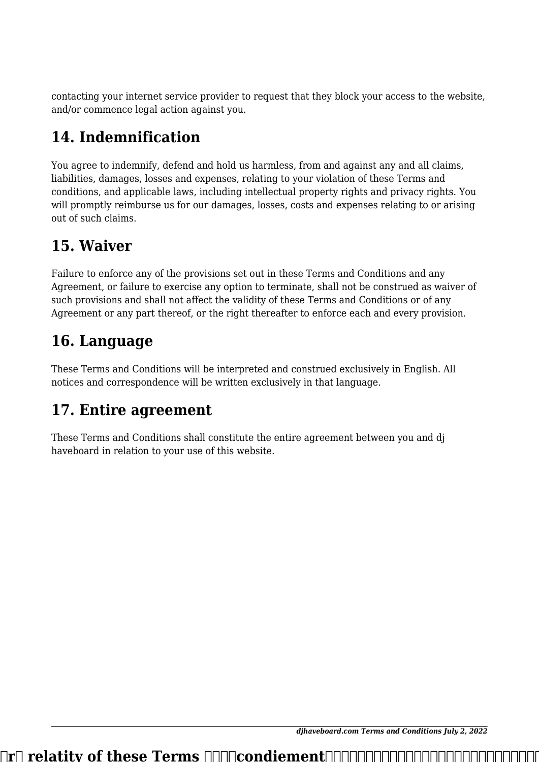contacting your internet service provider to request that they block your access to the website, and/or commence legal action against you.

## 14. Indemnification

You agree to indemnify, defend and hold us harmless, from and against any and all claims, liabilities, damages, losses and expenses, relating to your violation of these Terms and conditions, and applicable laws, including intellectual property rights and privacy rights. You will promptly reimburse us for our damages, losses, costs and expenses relating to or arising out of such claims.

#### 15. Waiver

Failure to enforce any of the provisions set out in these Terms and Conditions and any Agreement, or failure to exercise any option to terminate, shall not be construed as waiver of such provisions and shall not affect the validity of these Terms and Conditions or of any Agreement or any part thereof, or the right thereafter to enforce each and every provision.

#### 16. Language

These Terms and Conditions will be interpreted and construed exclusively in English. All notices and correspondence will be written exclusively in that language.

# 17. Entire agreement

These Terms and Conditions shall constitute the entire agreement between you and di haveboard in relation to your use of this website.

dihaveboard.com Terms and Conditions July 2, 2022